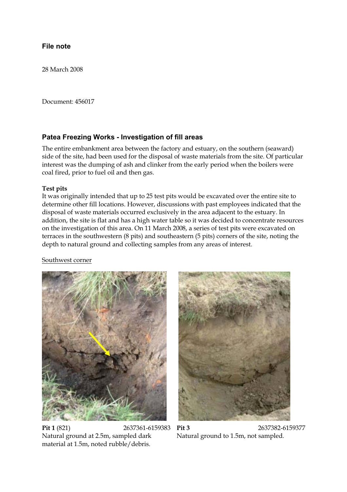#### File note **File note**

28 March 2008

Document: 456017

**Patea Freezing Works - Investigation of fill areas** The entire embankment area between the factory and estuary, on the southern (seaward) side of the site, had been used for the disposal of waste materials from the site. Of particular interest was the dumping of ash and clinker from the early period when the boilers were coal fired, prior to fuel oil and then gas.

#### **Test pits**

It was originally intended that up to 25 test pits would be excavated over the entire site to determine other fill locations. However, discussions with past employees indicated that the disposal of waste materials occurred exclusively in the area adjacent to the estuary. In addition, the site is flat and has a high water table so it was decided to concentrate resources on the investigation of this area. On 11 March 2008, a series of test pits were excavated on terraces in the southwestern (8 pits) and southeastern (5 pits) corners of the site, noting the depth to natural ground and collecting samples from any areas of interest.

### Southwest corner



**Pit 1** (821) 2637361-6159383 **Pit 3** 2637382-6159377 Natural ground at 2.5m, sampled dark material at 1.5m, noted rubble/debris.



Natural ground to 1.5m, not sampled.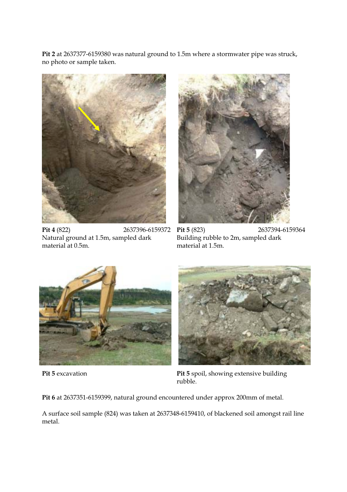**Pit 2** at 2637377-6159380 was natural ground to 1.5m where a stormwater pipe was struck, no photo or sample taken.



Natural ground at 1.5m, sampled dark material at 0.5m.



**Pit 4** (822) 2637396-6159372 **Pit 5** (823) 2637394-6159364 Building rubble to 2m, sampled dark material at 1.5m.





**Pit 5** excavation **Pit 5** spoil, showing extensive building rubble.

**Pit 6** at 2637351-6159399, natural ground encountered under approx 200mm of metal.

A surface soil sample (824) was taken at 2637348-6159410, of blackened soil amongst rail line metal.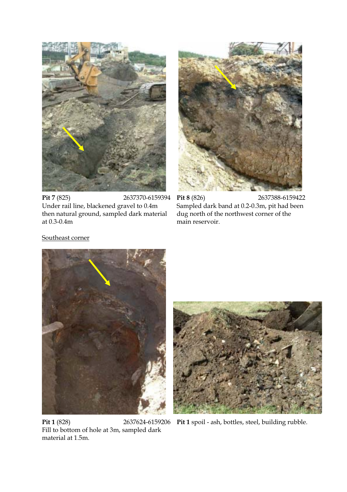

**Pit 7** (825) 2637370-6159394 **Pit 8** (826) 2637388-6159422 Under rail line, blackened gravel to 0.4m then natural ground, sampled dark material at 0.3-0.4m



Sampled dark band at 0.2-0.3m, pit had been dug north of the northwest corner of the main reservoir.

### Southeast corner



**Pit 1** (828) 2637624-6159206 **Pit 1** spoil - ash, bottles, steel, building rubble. Fill to bottom of hole at 3m, sampled dark material at 1.5m.

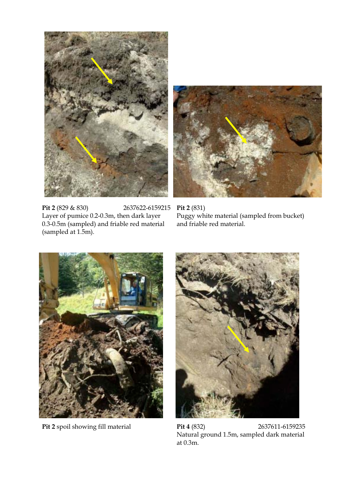



**Pit 2** (829 & 830) 2637622-6159215 **Pit 2** (831) Layer of pumice 0.2-0.3m, then dark layer 0.3-0.5m (sampled) and friable red material (sampled at 1.5m).

Puggy white material (sampled from bucket) and friable red material.





**Pit 2** spoil showing fill material **Pit 4** (832) 2637611-6159235 Natural ground 1.5m, sampled dark material at 0.3m.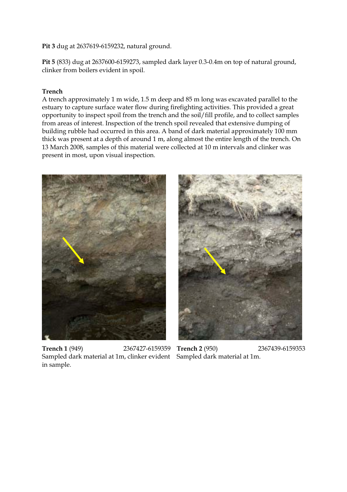## **Pit 3** dug at 2637619-6159232, natural ground.

**Pit 5** (833) dug at 2637600-6159273, sampled dark layer 0.3-0.4m on top of natural ground, clinker from boilers evident in spoil.

# **Trench**

A trench approximately 1 m wide, 1.5 m deep and 85 m long was excavated parallel to the estuary to capture surface water flow during firefighting activities. This provided a great opportunity to inspect spoil from the trench and the soil/fill profile, and to collect samples from areas of interest. Inspection of the trench spoil revealed that extensive dumping of building rubble had occurred in this area. A band of dark material approximately 100 mm thick was present at a depth of around 1 m, along almost the entire length of the trench. On 13 March 2008, samples of this material were collected at 10 m intervals and clinker was present in most, upon visual inspection.



**Trench 1** (949) 2367427-6159359 **Trench 2** (950) 2367439-6159353 Sampled dark material at 1m, clinker evident in sample.



Sampled dark material at 1m.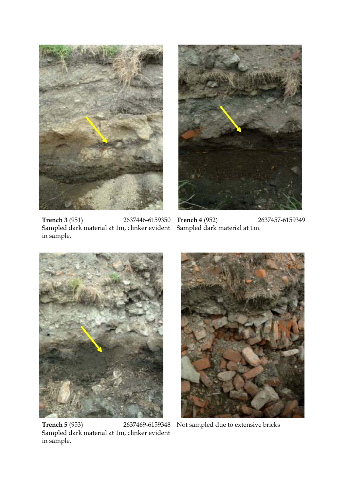

**Trench 3** (951) 2637446-6159350 **Trench 4** (952) 2637457-6159349 Sampled dark material at 1m, clinker evident Sampled dark material at 1m. in sample.





**Trench 5** (953) 2637469-6159348 Not sampled due to extensive bricks Sampled dark material at 1m, clinker evident in sample.